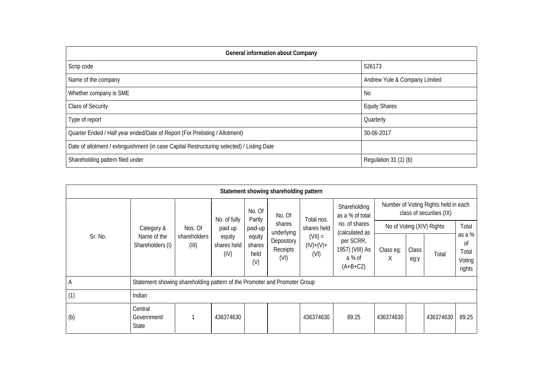| General information about Company                                                          |                               |  |  |  |  |  |  |  |
|--------------------------------------------------------------------------------------------|-------------------------------|--|--|--|--|--|--|--|
| Scrip code                                                                                 | 526173                        |  |  |  |  |  |  |  |
| Name of the company                                                                        | Andrew Yule & Company Limited |  |  |  |  |  |  |  |
| Whether company is SME                                                                     | No.                           |  |  |  |  |  |  |  |
| <b>Class of Security</b>                                                                   | <b>Equity Shares</b>          |  |  |  |  |  |  |  |
| Type of report                                                                             | Quarterly                     |  |  |  |  |  |  |  |
| Quarter Ended / Half year ended/Date of Report (For Prelisting / Allotment)                | 30-06-2017                    |  |  |  |  |  |  |  |
| Date of allotment / extinguishment (in case Capital Restructuring selected) / Listing Date |                               |  |  |  |  |  |  |  |
| Shareholding pattern filed under                                                           | Regulation 31 (1) (b)         |  |  |  |  |  |  |  |

|         |                                                                           |                                  |                                                          |                                                                | Statement showing shareholding pattern                           |                                                               |                                                                        |                           |               |                                                                  |                                           |  |
|---------|---------------------------------------------------------------------------|----------------------------------|----------------------------------------------------------|----------------------------------------------------------------|------------------------------------------------------------------|---------------------------------------------------------------|------------------------------------------------------------------------|---------------------------|---------------|------------------------------------------------------------------|-------------------------------------------|--|
| Sr. No. | Category &<br>Name of the<br>Shareholders (I)                             | Nos. Of<br>shareholders<br>(III) | No. of fully<br>paid up<br>equity<br>shares held<br>(IV) | No. Of<br>Partly<br>paid-up<br>equity<br>shares<br>held<br>(V) | No. Of<br>shares<br>underlying<br>Depository<br>Receipts<br>(VI) | Total nos.<br>shares held<br>$(VII) =$<br>$(IV)+(V)+$<br>(VI) | Shareholding<br>as a % of total                                        |                           |               | Number of Voting Rights held in each<br>class of securities (IX) |                                           |  |
|         |                                                                           |                                  |                                                          |                                                                |                                                                  |                                                               | no. of shares                                                          | No of Voting (XIV) Rights |               |                                                                  | Total                                     |  |
|         |                                                                           |                                  |                                                          |                                                                |                                                                  |                                                               | (calculated as<br>per SCRR,<br>1957) (VIII) As<br>a % of<br>$(A+B+C2)$ | Class eg:<br>X            | Class<br>eg:y | Total                                                            | as a %<br>οf<br>Total<br>Voting<br>rights |  |
| A       | Statement showing shareholding pattern of the Promoter and Promoter Group |                                  |                                                          |                                                                |                                                                  |                                                               |                                                                        |                           |               |                                                                  |                                           |  |
| (1)     | Indian                                                                    |                                  |                                                          |                                                                |                                                                  |                                                               |                                                                        |                           |               |                                                                  |                                           |  |
| (b)     | Central<br>Government/<br>State                                           |                                  | 436374630                                                |                                                                |                                                                  | 436374630                                                     | 89.25                                                                  | 436374630                 |               | 436374630                                                        | 89.25                                     |  |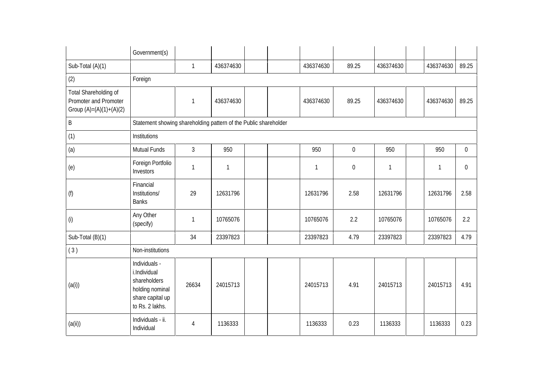|                                                                             | Government(s)                                                                                           |                |              |  |           |                  |              |           |                |
|-----------------------------------------------------------------------------|---------------------------------------------------------------------------------------------------------|----------------|--------------|--|-----------|------------------|--------------|-----------|----------------|
| Sub-Total (A)(1)                                                            |                                                                                                         | $\mathbf{1}$   | 436374630    |  | 436374630 | 89.25            | 436374630    | 436374630 | 89.25          |
| (2)                                                                         | Foreign                                                                                                 |                |              |  |           |                  |              |           |                |
| Total Shareholding of<br>Promoter and Promoter<br>Group $(A)=(A)(1)+(A)(2)$ |                                                                                                         | 1              | 436374630    |  | 436374630 | 89.25            | 436374630    | 436374630 | 89.25          |
| $\sf B$                                                                     | Statement showing shareholding pattern of the Public shareholder                                        |                |              |  |           |                  |              |           |                |
| (1)                                                                         | Institutions                                                                                            |                |              |  |           |                  |              |           |                |
| (a)                                                                         | <b>Mutual Funds</b>                                                                                     | $\mathfrak{Z}$ | 950          |  | 950       | $\mathbf{0}$     | 950          | 950       | $\overline{0}$ |
| (e)                                                                         | Foreign Portfolio<br>Investors                                                                          | 1              | $\mathbf{1}$ |  | 1         | $\boldsymbol{0}$ | $\mathbf{1}$ | 1         | $\mathbf 0$    |
| (f)                                                                         | Financial<br>Institutions/<br><b>Banks</b>                                                              | 29             | 12631796     |  | 12631796  | 2.58             | 12631796     | 12631796  | 2.58           |
| (i)                                                                         | Any Other<br>(specify)                                                                                  | 1              | 10765076     |  | 10765076  | 2.2              | 10765076     | 10765076  | 2.2            |
| Sub-Total (B)(1)                                                            |                                                                                                         | 34             | 23397823     |  | 23397823  | 4.79             | 23397823     | 23397823  | 4.79           |
| (3)                                                                         | Non-institutions                                                                                        |                |              |  |           |                  |              |           |                |
| (a(i))                                                                      | Individuals -<br>i.Individual<br>shareholders<br>holding nominal<br>share capital up<br>to Rs. 2 lakhs. | 26634          | 24015713     |  | 24015713  | 4.91             | 24015713     | 24015713  | 4.91           |
| (a(ii))                                                                     | Individuals - ii.<br>Individual                                                                         | 4              | 1136333      |  | 1136333   | 0.23             | 1136333      | 1136333   | 0.23           |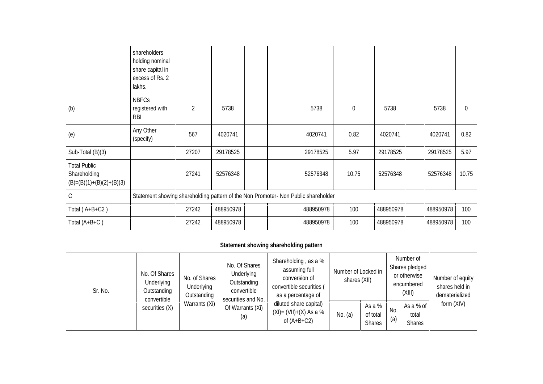|                                                                   | shareholders<br>holding nominal<br>share capital in<br>excess of Rs. 2<br>lakhs.   |                |           |  |           |           |           |           |       |
|-------------------------------------------------------------------|------------------------------------------------------------------------------------|----------------|-----------|--|-----------|-----------|-----------|-----------|-------|
| (b)                                                               | <b>NBFCs</b><br>registered with<br><b>RBI</b>                                      | $\overline{2}$ | 5738      |  | 5738      | $\pmb{0}$ | 5738      | 5738      | 0     |
| (e)                                                               | Any Other<br>(specify)                                                             | 567            | 4020741   |  | 4020741   | 0.82      | 4020741   | 4020741   | 0.82  |
| Sub-Total $(B)(3)$                                                |                                                                                    | 27207          | 29178525  |  | 29178525  | 5.97      | 29178525  | 29178525  | 5.97  |
| <b>Total Public</b><br>Shareholding<br>$(B)=(B)(1)+(B)(2)+(B)(3)$ |                                                                                    | 27241          | 52576348  |  | 52576348  | 10.75     | 52576348  | 52576348  | 10.75 |
| $\mathsf C$                                                       | Statement showing shareholding pattern of the Non Promoter- Non Public shareholder |                |           |  |           |           |           |           |       |
| Total $(A+B+C2)$                                                  |                                                                                    | 27242          | 488950978 |  | 488950978 | 100       | 488950978 | 488950978 | 100   |
| Total (A+B+C)                                                     |                                                                                    | 27242          | 488950978 |  | 488950978 | 100       | 488950978 | 488950978 | 100   |

|         |                                                                                                                                            |                                               |                                                                      | Statement showing shareholding pattern                                                                   |                                     |            |                                                                     |            |                                                      |
|---------|--------------------------------------------------------------------------------------------------------------------------------------------|-----------------------------------------------|----------------------------------------------------------------------|----------------------------------------------------------------------------------------------------------|-------------------------------------|------------|---------------------------------------------------------------------|------------|------------------------------------------------------|
| Sr. No. | No. Of Shares<br>No. of Shares<br>Underlying<br>Underlying<br>Outstanding<br>Outstanding<br>convertible<br>Warrants (Xi)<br>securities (X) |                                               | No. Of Shares<br>Underlying<br>Outstanding<br>convertible            | Shareholding, as a %<br>assuming full<br>conversion of<br>convertible securities (<br>as a percentage of | Number of Locked in<br>shares (XII) |            | Number of<br>Shares pledged<br>or otherwise<br>encumbered<br>(XIII) |            | Number of equity<br>shares held in<br>dematerialized |
|         |                                                                                                                                            | securities and No.<br>Of Warrants (Xi)<br>(a) | diluted share capital)<br>$(XI) = (VII)+(X) As a %$<br>of $(A+B+C2)$ | No. (a)                                                                                                  | As a %<br>of total<br><b>Shares</b> | No.<br>(a) | As a % of<br>total<br><b>Shares</b>                                 | form (XIV) |                                                      |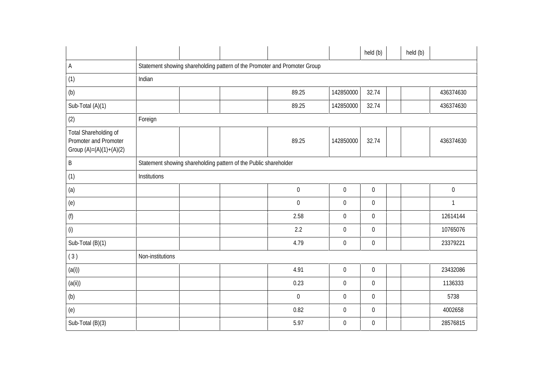|                                                                             |                  |                                                                  |                                                                           |                  | held (b)         | held (b)     |  |
|-----------------------------------------------------------------------------|------------------|------------------------------------------------------------------|---------------------------------------------------------------------------|------------------|------------------|--------------|--|
| $\mathsf{A}$                                                                |                  |                                                                  | Statement showing shareholding pattern of the Promoter and Promoter Group |                  |                  |              |  |
| (1)                                                                         | Indian           |                                                                  |                                                                           |                  |                  |              |  |
| (b)                                                                         |                  |                                                                  | 89.25                                                                     | 142850000        | 32.74            | 436374630    |  |
| Sub-Total (A)(1)                                                            |                  |                                                                  | 89.25                                                                     | 142850000        | 32.74            | 436374630    |  |
| (2)                                                                         | Foreign          |                                                                  |                                                                           |                  |                  |              |  |
| Total Shareholding of<br>Promoter and Promoter<br>Group $(A)=(A)(1)+(A)(2)$ |                  |                                                                  | 89.25                                                                     | 142850000        | 32.74            | 436374630    |  |
| $\sf B$                                                                     |                  | Statement showing shareholding pattern of the Public shareholder |                                                                           |                  |                  |              |  |
| (1)                                                                         | Institutions     |                                                                  |                                                                           |                  |                  |              |  |
| (a)                                                                         |                  |                                                                  | $\boldsymbol{0}$                                                          | $\mathbf 0$      | $\boldsymbol{0}$ | $\pmb{0}$    |  |
| (e)                                                                         |                  |                                                                  | $\pmb{0}$                                                                 | $\boldsymbol{0}$ | $\boldsymbol{0}$ | $\mathbf{1}$ |  |
| (f)                                                                         |                  |                                                                  | 2.58                                                                      | $\boldsymbol{0}$ | $\boldsymbol{0}$ | 12614144     |  |
| (i)                                                                         |                  |                                                                  | 2.2                                                                       | $\mathbf 0$      | $\boldsymbol{0}$ | 10765076     |  |
| Sub-Total (B)(1)                                                            |                  |                                                                  | 4.79                                                                      | $\boldsymbol{0}$ | $\boldsymbol{0}$ | 23379221     |  |
| (3)                                                                         | Non-institutions |                                                                  |                                                                           |                  |                  |              |  |
| (a(i))                                                                      |                  |                                                                  | 4.91                                                                      | $\mathbf 0$      | $\overline{0}$   | 23432086     |  |
| (a(ii))                                                                     |                  |                                                                  | 0.23                                                                      | $\boldsymbol{0}$ | $\boldsymbol{0}$ | 1136333      |  |
| (b)                                                                         |                  |                                                                  | $\boldsymbol{0}$                                                          | $\mathbf 0$      | $\mathbf 0$      | 5738         |  |
| (e)                                                                         |                  |                                                                  | 0.82                                                                      | $\mathbf 0$      | $\overline{0}$   | 4002658      |  |
| Sub-Total (B)(3)                                                            |                  |                                                                  | 5.97                                                                      | $\boldsymbol{0}$ | $\boldsymbol{0}$ | 28576815     |  |